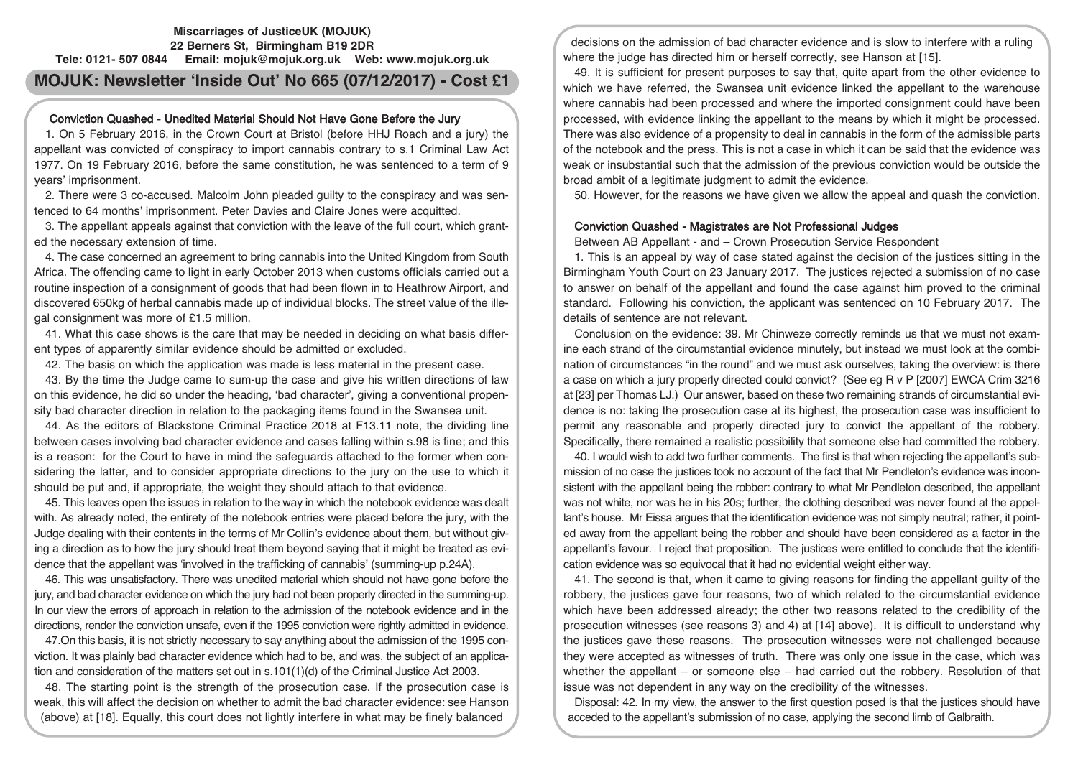#### **Miscarriages of JusticeUK (MOJUK) 22 Berners St, Birmingham B19 2DR Tele: 0121- 507 0844 Email: mojuk@mojuk.org.uk Web: www.mojuk.org.uk**

# **MOJUK: Newsletter 'Inside Out' No 665 (07/12/2017) - Cost £1**

# Conviction Quashed - Unedited Material Should Not Have Gone Before the Jury

1. On 5 February 2016, in the Crown Court at Bristol (before HHJ Roach and a jury) the appellant was convicted of conspiracy to import cannabis contrary to s.1 Criminal Law Act 1977. On 19 February 2016, before the same constitution, he was sentenced to a term of 9 years' imprisonment.

2. There were 3 co-accused. Malcolm John pleaded guilty to the conspiracy and was sentenced to 64 months' imprisonment. Peter Davies and Claire Jones were acquitted.

3. The appellant appeals against that conviction with the leave of the full court, which granted the necessary extension of time.

4. The case concerned an agreement to bring cannabis into the United Kingdom from South Africa. The offending came to light in early October 2013 when customs officials carried out a routine inspection of a consignment of goods that had been flown in to Heathrow Airport, and discovered 650kg of herbal cannabis made up of individual blocks. The street value of the illegal consignment was more of £1.5 million.

41. What this case shows is the care that may be needed in deciding on what basis different types of apparently similar evidence should be admitted or excluded.

42. The basis on which the application was made is less material in the present case.

43. By the time the Judge came to sum-up the case and give his written directions of law on this evidence, he did so under the heading, 'bad character', giving a conventional propensity bad character direction in relation to the packaging items found in the Swansea unit.

44. As the editors of Blackstone Criminal Practice 2018 at F13.11 note, the dividing line between cases involving bad character evidence and cases falling within s.98 is fine; and this is a reason: for the Court to have in mind the safeguards attached to the former when considering the latter, and to consider appropriate directions to the jury on the use to which it should be put and, if appropriate, the weight they should attach to that evidence.

45. This leaves open the issues in relation to the way in which the notebook evidence was dealt with. As already noted, the entirety of the notebook entries were placed before the jury, with the Judge dealing with their contents in the terms of Mr Collin's evidence about them, but without giving a direction as to how the jury should treat them beyond saying that it might be treated as evidence that the appellant was 'involved in the trafficking of cannabis' (summing-up p.24A).

46. This was unsatisfactory. There was unedited material which should not have gone before the jury, and bad character evidence on which the jury had not been properly directed in the summing-up. In our view the errors of approach in relation to the admission of the notebook evidence and in the directions, render the conviction unsafe, even if the 1995 conviction were rightly admitted in evidence.

47.On this basis, it is not strictly necessary to say anything about the admission of the 1995 conviction. It was plainly bad character evidence which had to be, and was, the subject of an application and consideration of the matters set out in s.101(1)(d) of the Criminal Justice Act 2003.

48. The starting point is the strength of the prosecution case. If the prosecution case is weak, this will affect the decision on whether to admit the bad character evidence: see Hanson (above) at [18]. Equally, this court does not lightly interfere in what may be finely balanced

decisions on the admission of bad character evidence and is slow to interfere with a ruling where the judge has directed him or herself correctly, see Hanson at [15].

49. It is sufficient for present purposes to say that, quite apart from the other evidence to which we have referred, the Swansea unit evidence linked the appellant to the warehouse where cannabis had been processed and where the imported consignment could have been processed, with evidence linking the appellant to the means by which it might be processed. There was also evidence of a propensity to deal in cannabis in the form of the admissible parts of the notebook and the press. This is not a case in which it can be said that the evidence was weak or insubstantial such that the admission of the previous conviction would be outside the broad ambit of a legitimate judgment to admit the evidence.

50. However, for the reasons we have given we allow the appeal and quash the conviction.

# Conviction Quashed - Magistrates are Not Professional Judges

Between AB Appellant - and – Crown Prosecution Service Respondent

1. This is an appeal by way of case stated against the decision of the justices sitting in the Birmingham Youth Court on 23 January 2017. The justices rejected a submission of no case to answer on behalf of the appellant and found the case against him proved to the criminal standard. Following his conviction, the applicant was sentenced on 10 February 2017. The details of sentence are not relevant.

Conclusion on the evidence: 39. Mr Chinweze correctly reminds us that we must not examine each strand of the circumstantial evidence minutely, but instead we must look at the combination of circumstances "in the round" and we must ask ourselves, taking the overview: is there a case on which a jury properly directed could convict? (See eg R v P [2007] EWCA Crim 3216 at [23] per Thomas LJ.) Our answer, based on these two remaining strands of circumstantial evidence is no: taking the prosecution case at its highest, the prosecution case was insufficient to permit any reasonable and properly directed jury to convict the appellant of the robbery. Specifically, there remained a realistic possibility that someone else had committed the robbery.

40. I would wish to add two further comments. The first is that when rejecting the appellant's submission of no case the justices took no account of the fact that Mr Pendleton's evidence was inconsistent with the appellant being the robber: contrary to what Mr Pendleton described, the appellant was not white, nor was he in his 20s; further, the clothing described was never found at the appellant's house. Mr Eissa argues that the identification evidence was not simply neutral; rather, it pointed away from the appellant being the robber and should have been considered as a factor in the appellant's favour. I reject that proposition. The justices were entitled to conclude that the identification evidence was so equivocal that it had no evidential weight either way.

41. The second is that, when it came to giving reasons for finding the appellant guilty of the robbery, the justices gave four reasons, two of which related to the circumstantial evidence which have been addressed already; the other two reasons related to the credibility of the prosecution witnesses (see reasons 3) and 4) at [14] above). It is difficult to understand why the justices gave these reasons. The prosecution witnesses were not challenged because they were accepted as witnesses of truth. There was only one issue in the case, which was whether the appellant  $-$  or someone else  $-$  had carried out the robbery. Resolution of that issue was not dependent in any way on the credibility of the witnesses.

Disposal: 42. In my view, the answer to the first question posed is that the justices should have acceded to the appellant's submission of no case, applying the second limb of Galbraith.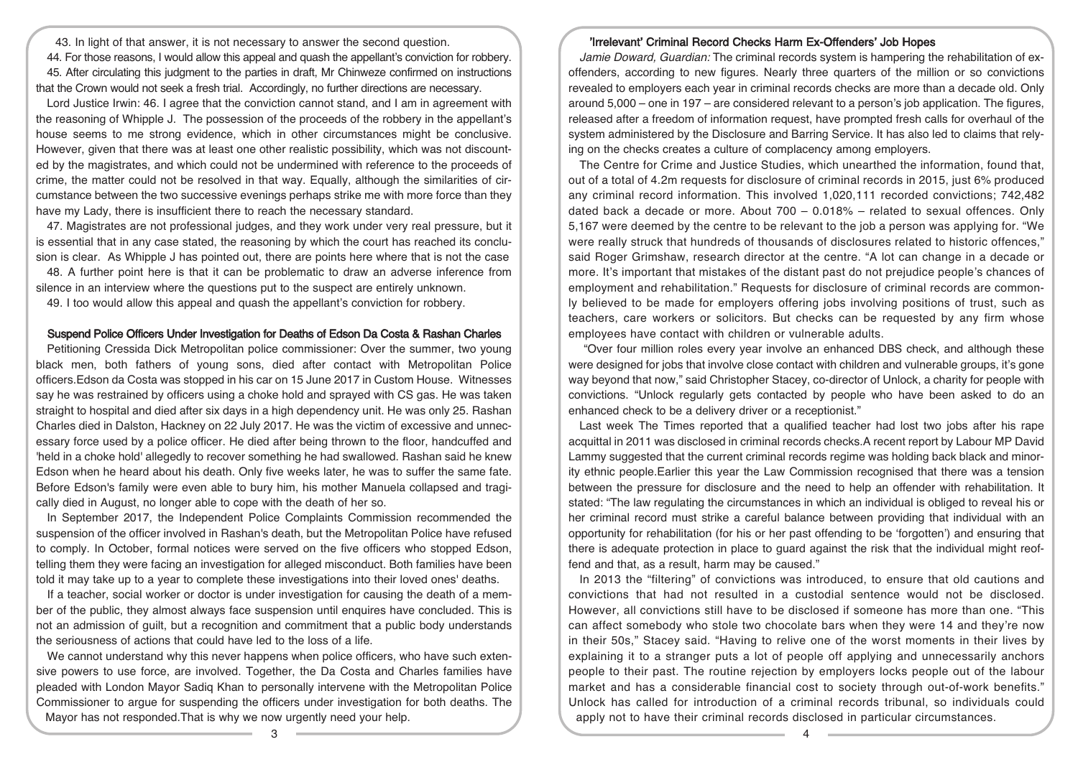43. In light of that answer, it is not necessary to answer the second question.

44. For those reasons, I would allow this appeal and quash the appellant's conviction for robbery. 45. After circulating this judgment to the parties in draft, Mr Chinweze confirmed on instructions that the Crown would not seek a fresh trial. Accordingly, no further directions are necessary.

Lord Justice Irwin: 46. I agree that the conviction cannot stand, and I am in agreement with the reasoning of Whipple J. The possession of the proceeds of the robbery in the appellant's house seems to me strong evidence, which in other circumstances might be conclusive. However, given that there was at least one other realistic possibility, which was not discounted by the magistrates, and which could not be undermined with reference to the proceeds of crime, the matter could not be resolved in that way. Equally, although the similarities of circumstance between the two successive evenings perhaps strike me with more force than they have my Lady, there is insufficient there to reach the necessary standard.

47. Magistrates are not professional judges, and they work under very real pressure, but it is essential that in any case stated, the reasoning by which the court has reached its conclusion is clear. As Whipple J has pointed out, there are points here where that is not the case

48. A further point here is that it can be problematic to draw an adverse inference from silence in an interview where the questions put to the suspect are entirely unknown.

49. I too would allow this appeal and quash the appellant's conviction for robbery.

# Suspend Police Officers Under Investigation for Deaths of Edson Da Costa & Rashan Charles

Petitioning Cressida Dick Metropolitan police commissioner: Over the summer, two young black men, both fathers of young sons, died after contact with Metropolitan Police officers.Edson da Costa was stopped in his car on 15 June 2017 in Custom House. Witnesses say he was restrained by officers using a choke hold and sprayed with CS gas. He was taken straight to hospital and died after six days in a high dependency unit. He was only 25. Rashan Charles died in Dalston, Hackney on 22 July 2017. He was the victim of excessive and unnecessary force used by a police officer. He died after being thrown to the floor, handcuffed and 'held in a choke hold' allegedly to recover something he had swallowed. Rashan said he knew Edson when he heard about his death. Only five weeks later, he was to suffer the same fate. Before Edson's family were even able to bury him, his mother Manuela collapsed and tragically died in August, no longer able to cope with the death of her so.

In September 2017, the Independent Police Complaints Commission recommended the suspension of the officer involved in Rashan's death, but the Metropolitan Police have refused to comply. In October, formal notices were served on the five officers who stopped Edson, telling them they were facing an investigation for alleged misconduct. Both families have been told it may take up to a year to complete these investigations into their loved ones' deaths.

If a teacher, social worker or doctor is under investigation for causing the death of a member of the public, they almost always face suspension until enquires have concluded. This is not an admission of guilt, but a recognition and commitment that a public body understands the seriousness of actions that could have led to the loss of a life.

We cannot understand why this never happens when police officers, who have such extensive powers to use force, are involved. Together, the Da Costa and Charles families have pleaded with London Mayor Sadiq Khan to personally intervene with the Metropolitan Police Commissioner to argue for suspending the officers under investigation for both deaths. The Mayor has not responded.That is why we now urgently need your help.

#### 'Irrelevant' Criminal Record Checks Harm Ex-Offenders' Job Hopes

Jamie Doward, Guardian: The criminal records system is hampering the rehabilitation of exoffenders, according to new figures. Nearly three quarters of the million or so convictions revealed to employers each year in criminal records checks are more than a decade old. Only around 5,000 – one in 197 – are considered relevant to a person's job application. The figures, released after a freedom of information request, have prompted fresh calls for overhaul of the system administered by the Disclosure and Barring Service. It has also led to claims that relying on the checks creates a culture of complacency among employers.

The Centre for Crime and Justice Studies, which unearthed the information, found that, out of a total of 4.2m requests for disclosure of criminal records in 2015, just 6% produced any criminal record information. This involved 1,020,111 recorded convictions; 742,482 dated back a decade or more. About  $700 - 0.018%$  – related to sexual offences. Only 5,167 were deemed by the centre to be relevant to the job a person was applying for. "We were really struck that hundreds of thousands of disclosures related to historic offences," said Roger Grimshaw, research director at the centre. "A lot can change in a decade or more. It's important that mistakes of the distant past do not prejudice people's chances of employment and rehabilitation." Requests for disclosure of criminal records are commonly believed to be made for employers offering jobs involving positions of trust, such as teachers, care workers or solicitors. But checks can be requested by any firm whose employees have contact with children or vulnerable adults.

"Over four million roles every year involve an enhanced DBS check, and although these were designed for jobs that involve close contact with children and vulnerable groups, it's gone way beyond that now," said Christopher Stacey, co-director of Unlock, a charity for people with convictions. "Unlock regularly gets contacted by people who have been asked to do an enhanced check to be a delivery driver or a receptionist."

Last week The Times reported that a qualified teacher had lost two jobs after his rape acquittal in 2011 was disclosed in criminal records checks.A recent report by Labour MP David Lammy suggested that the current criminal records regime was holding back black and minority ethnic people.Earlier this year the Law Commission recognised that there was a tension between the pressure for disclosure and the need to help an offender with rehabilitation. It stated: "The law regulating the circumstances in which an individual is obliged to reveal his or her criminal record must strike a careful balance between providing that individual with an opportunity for rehabilitation (for his or her past offending to be 'forgotten') and ensuring that there is adequate protection in place to guard against the risk that the individual might reoffend and that, as a result, harm may be caused."

In 2013 the "filtering" of convictions was introduced, to ensure that old cautions and convictions that had not resulted in a custodial sentence would not be disclosed. However, all convictions still have to be disclosed if someone has more than one. "This can affect somebody who stole two chocolate bars when they were 14 and they're now in their 50s," Stacey said. "Having to relive one of the worst moments in their lives by explaining it to a stranger puts a lot of people off applying and unnecessarily anchors people to their past. The routine rejection by employers locks people out of the labour market and has a considerable financial cost to society through out-of-work benefits." Unlock has called for introduction of a criminal records tribunal, so individuals could apply not to have their criminal records disclosed in particular circumstances.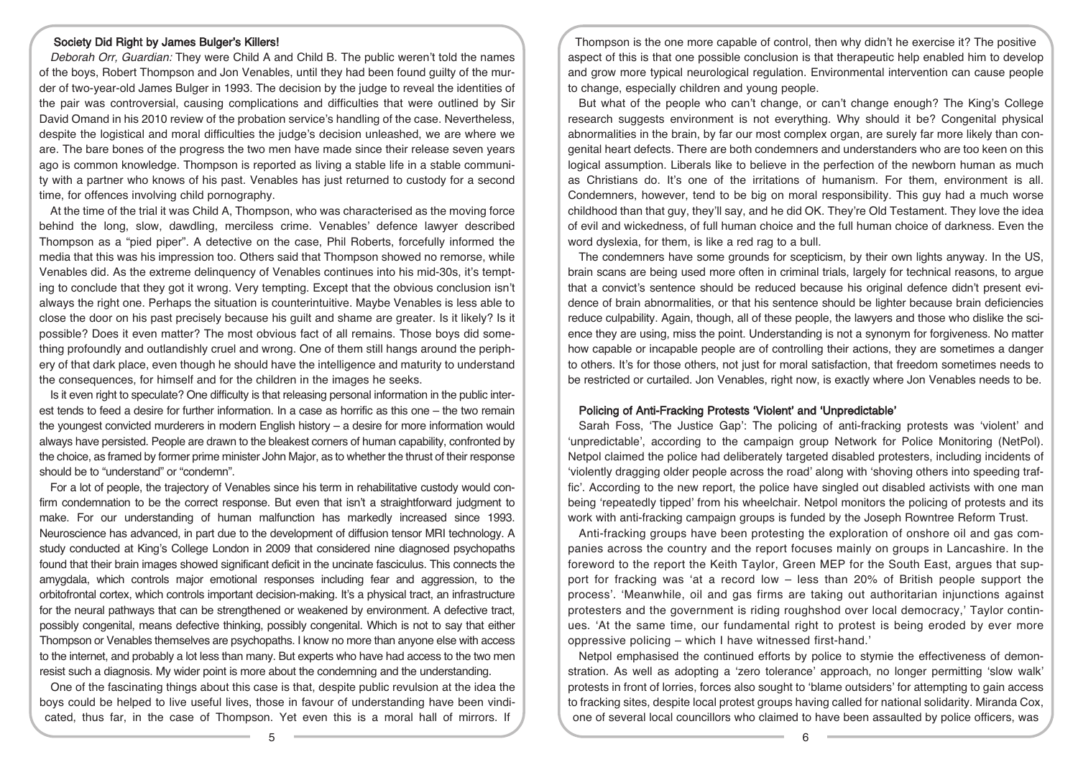# Society Did Right by James Bulger's Killers!

Deborah Orr, Guardian: They were Child A and Child B. The public weren't told the names of the boys, Robert Thompson and Jon Venables, until they had been found guilty of the murder of two-year-old James Bulger in 1993. The decision by the judge to reveal the identities of the pair was controversial, causing complications and difficulties that were outlined by Sir David Omand in his 2010 review of the probation service's handling of the case. Nevertheless, despite the logistical and moral difficulties the judge's decision unleashed, we are where we are. The bare bones of the progress the two men have made since their release seven years ago is common knowledge. Thompson is reported as living a stable life in a stable community with a partner who knows of his past. Venables has just returned to custody for a second time, for offences involving child pornography.

At the time of the trial it was Child A, Thompson, who was characterised as the moving force behind the long, slow, dawdling, merciless crime. Venables' defence lawyer described Thompson as a "pied piper". A detective on the case, Phil Roberts, forcefully informed the media that this was his impression too. Others said that Thompson showed no remorse, while Venables did. As the extreme delinquency of Venables continues into his mid-30s, it's tempting to conclude that they got it wrong. Very tempting. Except that the obvious conclusion isn't always the right one. Perhaps the situation is counterintuitive. Maybe Venables is less able to close the door on his past precisely because his guilt and shame are greater. Is it likely? Is it possible? Does it even matter? The most obvious fact of all remains. Those boys did something profoundly and outlandishly cruel and wrong. One of them still hangs around the periphery of that dark place, even though he should have the intelligence and maturity to understand the consequences, for himself and for the children in the images he seeks.

Is it even right to speculate? One difficulty is that releasing personal information in the public interest tends to feed a desire for further information. In a case as horrific as this one – the two remain the youngest convicted murderers in modern English history – a desire for more information would always have persisted. People are drawn to the bleakest corners of human capability, confronted by the choice, as framed by former prime minister John Major, as to whether the thrust of their response should be to "understand" or "condemn".

For a lot of people, the trajectory of Venables since his term in rehabilitative custody would confirm condemnation to be the correct response. But even that isn't a straightforward judgment to make. For our understanding of human malfunction has markedly increased since 1993. Neuroscience has advanced, in part due to the development of diffusion tensor MRI technology. A study conducted at King's College London in 2009 that considered nine diagnosed psychopaths found that their brain images showed significant deficit in the uncinate fasciculus. This connects the amygdala, which controls major emotional responses including fear and aggression, to the orbitofrontal cortex, which controls important decision-making. It's a physical tract, an infrastructure for the neural pathways that can be strengthened or weakened by environment. A defective tract, possibly congenital, means defective thinking, possibly congenital. Which is not to say that either Thompson or Venables themselves are psychopaths. I know no more than anyone else with access to the internet, and probably a lot less than many. But experts who have had access to the two men resist such a diagnosis. My wider point is more about the condemning and the understanding.

One of the fascinating things about this case is that, despite public revulsion at the idea the boys could be helped to live useful lives, those in favour of understanding have been vindicated, thus far, in the case of Thompson. Yet even this is a moral hall of mirrors. If

Thompson is the one more capable of control, then why didn't he exercise it? The positive aspect of this is that one possible conclusion is that therapeutic help enabled him to develop and grow more typical neurological regulation. Environmental intervention can cause people to change, especially children and young people.

But what of the people who can't change, or can't change enough? The King's College research suggests environment is not everything. Why should it be? Congenital physical abnormalities in the brain, by far our most complex organ, are surely far more likely than congenital heart defects. There are both condemners and understanders who are too keen on this logical assumption. Liberals like to believe in the perfection of the newborn human as much as Christians do. It's one of the irritations of humanism. For them, environment is all. Condemners, however, tend to be big on moral responsibility. This guy had a much worse childhood than that guy, they'll say, and he did OK. They're Old Testament. They love the idea of evil and wickedness, of full human choice and the full human choice of darkness. Even the word dyslexia, for them, is like a red rag to a bull.

The condemners have some grounds for scepticism, by their own lights anyway. In the US, brain scans are being used more often in criminal trials, largely for technical reasons, to argue that a convict's sentence should be reduced because his original defence didn't present evidence of brain abnormalities, or that his sentence should be lighter because brain deficiencies reduce culpability. Again, though, all of these people, the lawyers and those who dislike the science they are using, miss the point. Understanding is not a synonym for forgiveness. No matter how capable or incapable people are of controlling their actions, they are sometimes a danger to others. It's for those others, not just for moral satisfaction, that freedom sometimes needs to be restricted or curtailed. Jon Venables, right now, is exactly where Jon Venables needs to be.

#### Policing of Anti-Fracking Protests 'Violent' and 'Unpredictable'

Sarah Foss, 'The Justice Gap': The policing of anti-fracking protests was 'violent' and 'unpredictable', according to the campaign group Network for Police Monitoring (NetPol). Netpol claimed the police had deliberately targeted disabled protesters, including incidents of 'violently dragging older people across the road' along with 'shoving others into speeding traffic'. According to the new report, the police have singled out disabled activists with one man being 'repeatedly tipped' from his wheelchair. Netpol monitors the policing of protests and its work with anti-fracking campaign groups is funded by the Joseph Rowntree Reform Trust.

Anti-fracking groups have been protesting the exploration of onshore oil and gas companies across the country and the report focuses mainly on groups in Lancashire. In the foreword to the report the Keith Taylor, Green MEP for the South East, argues that support for fracking was 'at a record low – less than 20% of British people support the process'. 'Meanwhile, oil and gas firms are taking out authoritarian injunctions against protesters and the government is riding roughshod over local democracy,' Taylor continues. 'At the same time, our fundamental right to protest is being eroded by ever more oppressive policing – which I have witnessed first-hand.'

Netpol emphasised the continued efforts by police to stymie the effectiveness of demonstration. As well as adopting a 'zero tolerance' approach, no longer permitting 'slow walk' protests in front of lorries, forces also sought to 'blame outsiders' for attempting to gain access to fracking sites, despite local protest groups having called for national solidarity. Miranda Cox, one of several local councillors who claimed to have been assaulted by police officers, was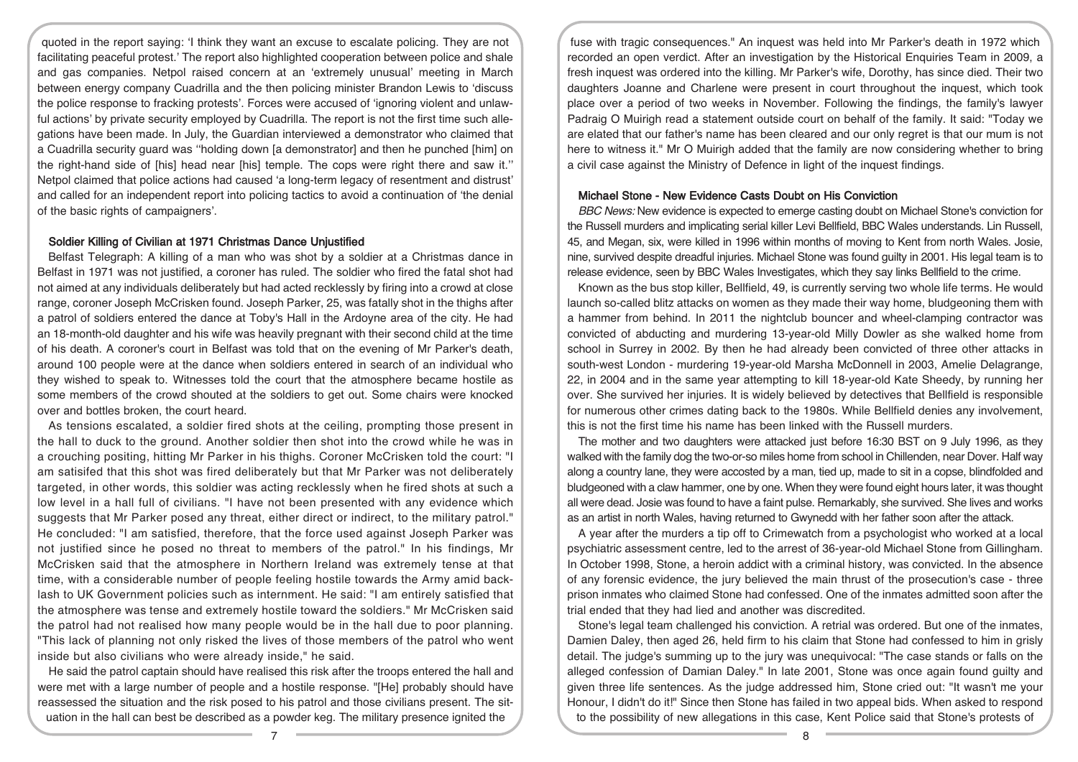quoted in the report saying: 'I think they want an excuse to escalate policing. They are not facilitating peaceful protest.' The report also highlighted cooperation between police and shale and gas companies. Netpol raised concern at an 'extremely unusual' meeting in March between energy company Cuadrilla and the then policing minister Brandon Lewis to 'discuss the police response to fracking protests'. Forces were accused of 'ignoring violent and unlawful actions' by private security employed by Cuadrilla. The report is not the first time such allegations have been made. In July, the Guardian interviewed a demonstrator who claimed that a Cuadrilla security guard was ''holding down [a demonstrator] and then he punched [him] on the right-hand side of [his] head near [his] temple. The cops were right there and saw it.'' Netpol claimed that police actions had caused 'a long-term legacy of resentment and distrust' and called for an independent report into policing tactics to avoid a continuation of 'the denial of the basic rights of campaigners'.

#### Soldier Killing of Civilian at 1971 Christmas Dance Unjustified

Belfast Telegraph: A killing of a man who was shot by a soldier at a Christmas dance in Belfast in 1971 was not justified, a coroner has ruled. The soldier who fired the fatal shot had not aimed at any individuals deliberately but had acted recklessly by firing into a crowd at close range, coroner Joseph McCrisken found. Joseph Parker, 25, was fatally shot in the thighs after a patrol of soldiers entered the dance at Toby's Hall in the Ardoyne area of the city. He had an 18-month-old daughter and his wife was heavily pregnant with their second child at the time of his death. A coroner's court in Belfast was told that on the evening of Mr Parker's death, around 100 people were at the dance when soldiers entered in search of an individual who they wished to speak to. Witnesses told the court that the atmosphere became hostile as some members of the crowd shouted at the soldiers to get out. Some chairs were knocked over and bottles broken, the court heard.

As tensions escalated, a soldier fired shots at the ceiling, prompting those present in the hall to duck to the ground. Another soldier then shot into the crowd while he was in a crouching positing, hitting Mr Parker in his thighs. Coroner McCrisken told the court: "I am satisifed that this shot was fired deliberately but that Mr Parker was not deliberately targeted, in other words, this soldier was acting recklessly when he fired shots at such a low level in a hall full of civilians. "I have not been presented with any evidence which suggests that Mr Parker posed any threat, either direct or indirect, to the military patrol." He concluded: "I am satisfied, therefore, that the force used against Joseph Parker was not justified since he posed no threat to members of the patrol." In his findings, Mr McCrisken said that the atmosphere in Northern Ireland was extremely tense at that time, with a considerable number of people feeling hostile towards the Army amid backlash to UK Government policies such as internment. He said: "I am entirely satisfied that the atmosphere was tense and extremely hostile toward the soldiers." Mr McCrisken said the patrol had not realised how many people would be in the hall due to poor planning. "This lack of planning not only risked the lives of those members of the patrol who went inside but also civilians who were already inside," he said.

He said the patrol captain should have realised this risk after the troops entered the hall and were met with a large number of people and a hostile response. "[He] probably should have reassessed the situation and the risk posed to his patrol and those civilians present. The situation in the hall can best be described as a powder keg. The military presence ignited the

fuse with tragic consequences." An inquest was held into Mr Parker's death in 1972 which recorded an open verdict. After an investigation by the Historical Enquiries Team in 2009, a fresh inquest was ordered into the killing. Mr Parker's wife, Dorothy, has since died. Their two daughters Joanne and Charlene were present in court throughout the inquest, which took place over a period of two weeks in November. Following the findings, the family's lawyer Padraig O Muirigh read a statement outside court on behalf of the family. It said: "Today we are elated that our father's name has been cleared and our only regret is that our mum is not here to witness it." Mr O Muirigh added that the family are now considering whether to bring a civil case against the Ministry of Defence in light of the inquest findings.

#### Michael Stone - New Evidence Casts Doubt on His Conviction

BBC News: New evidence is expected to emerge casting doubt on Michael Stone's conviction for the Russell murders and implicating serial killer Levi Bellfield, BBC Wales understands. Lin Russell, 45, and Megan, six, were killed in 1996 within months of moving to Kent from north Wales. Josie, nine, survived despite dreadful injuries. Michael Stone was found guilty in 2001. His legal team is to release evidence, seen by BBC Wales Investigates, which they say links Bellfield to the crime.

Known as the bus stop killer, Bellfield, 49, is currently serving two whole life terms. He would launch so-called blitz attacks on women as they made their way home, bludgeoning them with a hammer from behind. In 2011 the nightclub bouncer and wheel-clamping contractor was convicted of abducting and murdering 13-year-old Milly Dowler as she walked home from school in Surrey in 2002. By then he had already been convicted of three other attacks in south-west London - murdering 19-year-old Marsha McDonnell in 2003, Amelie Delagrange, 22, in 2004 and in the same year attempting to kill 18-year-old Kate Sheedy, by running her over. She survived her injuries. It is widely believed by detectives that Bellfield is responsible for numerous other crimes dating back to the 1980s. While Bellfield denies any involvement, this is not the first time his name has been linked with the Russell murders.

The mother and two daughters were attacked just before 16:30 BST on 9 July 1996, as they walked with the family dog the two-or-so miles home from school in Chillenden, near Dover. Half way along a country lane, they were accosted by a man, tied up, made to sit in a copse, blindfolded and bludgeoned with a claw hammer, one by one. When they were found eight hours later, it was thought all were dead. Josie was found to have a faint pulse. Remarkably, she survived. She lives and works as an artist in north Wales, having returned to Gwynedd with her father soon after the attack.

A year after the murders a tip off to Crimewatch from a psychologist who worked at a local psychiatric assessment centre, led to the arrest of 36-year-old Michael Stone from Gillingham. In October 1998, Stone, a heroin addict with a criminal history, was convicted. In the absence of any forensic evidence, the jury believed the main thrust of the prosecution's case - three prison inmates who claimed Stone had confessed. One of the inmates admitted soon after the trial ended that they had lied and another was discredited.

Stone's legal team challenged his conviction. A retrial was ordered. But one of the inmates, Damien Daley, then aged 26, held firm to his claim that Stone had confessed to him in grisly detail. The judge's summing up to the jury was unequivocal: "The case stands or falls on the alleged confession of Damian Daley." In late 2001, Stone was once again found guilty and given three life sentences. As the judge addressed him, Stone cried out: "It wasn't me your Honour, I didn't do it!" Since then Stone has failed in two appeal bids. When asked to respond to the possibility of new allegations in this case, Kent Police said that Stone's protests of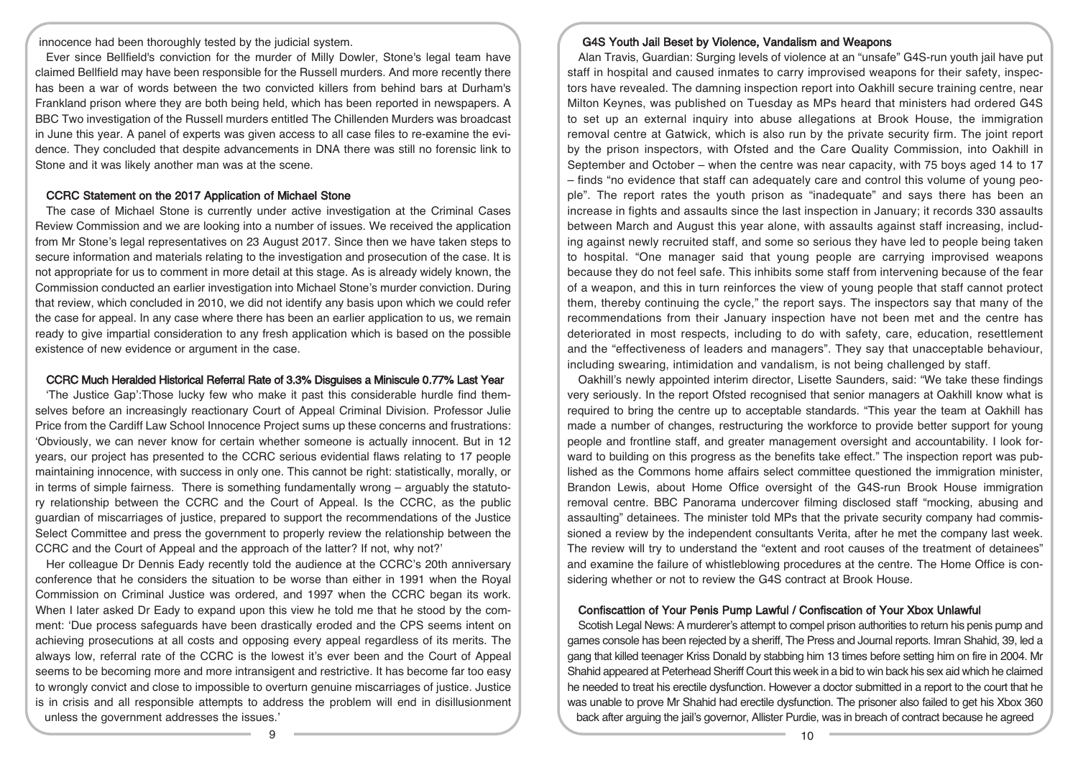innocence had been thoroughly tested by the judicial system.

Ever since Bellfield's conviction for the murder of Milly Dowler, Stone's legal team have claimed Bellfield may have been responsible for the Russell murders. And more recently there has been a war of words between the two convicted killers from behind bars at Durham's Frankland prison where they are both being held, which has been reported in newspapers. A BBC Two investigation of the Russell murders entitled The Chillenden Murders was broadcast in June this year. A panel of experts was given access to all case files to re-examine the evidence. They concluded that despite advancements in DNA there was still no forensic link to Stone and it was likely another man was at the scene.

# CCRC Statement on the 2017 Application of Michael Stone

The case of Michael Stone is currently under active investigation at the Criminal Cases Review Commission and we are looking into a number of issues. We received the application from Mr Stone's legal representatives on 23 August 2017. Since then we have taken steps to secure information and materials relating to the investigation and prosecution of the case. It is not appropriate for us to comment in more detail at this stage. As is already widely known, the Commission conducted an earlier investigation into Michael Stone's murder conviction. During that review, which concluded in 2010, we did not identify any basis upon which we could refer the case for appeal. In any case where there has been an earlier application to us, we remain ready to give impartial consideration to any fresh application which is based on the possible existence of new evidence or argument in the case.

#### CCRC Much Heralded Historical Referral Rate of 3.3% Disguises a Miniscule 0.77% Last Year

'The Justice Gap':Those lucky few who make it past this considerable hurdle find themselves before an increasingly reactionary Court of Appeal Criminal Division. Professor Julie Price from the Cardiff Law School Innocence Project sums up these concerns and frustrations: 'Obviously, we can never know for certain whether someone is actually innocent. But in 12 years, our project has presented to the CCRC serious evidential flaws relating to 17 people maintaining innocence, with success in only one. This cannot be right: statistically, morally, or in terms of simple fairness. There is something fundamentally wrong – arguably the statutory relationship between the CCRC and the Court of Appeal. Is the CCRC, as the public guardian of miscarriages of justice, prepared to support the recommendations of the Justice Select Committee and press the government to properly review the relationship between the CCRC and the Court of Appeal and the approach of the latter? If not, why not?'

Her colleague Dr Dennis Eady recently told the audience at the CCRC's 20th anniversary conference that he considers the situation to be worse than either in 1991 when the Royal Commission on Criminal Justice was ordered, and 1997 when the CCRC began its work. When I later asked Dr Eady to expand upon this view he told me that he stood by the comment: 'Due process safeguards have been drastically eroded and the CPS seems intent on achieving prosecutions at all costs and opposing every appeal regardless of its merits. The always low, referral rate of the CCRC is the lowest it's ever been and the Court of Appeal seems to be becoming more and more intransigent and restrictive. It has become far too easy to wrongly convict and close to impossible to overturn genuine miscarriages of justice. Justice is in crisis and all responsible attempts to address the problem will end in disillusionment unless the government addresses the issues.'

# G4S Youth Jail Beset by Violence, Vandalism and Weapons

Alan Travis, Guardian: Surging levels of violence at an "unsafe" G4S-run youth jail have put staff in hospital and caused inmates to carry improvised weapons for their safety, inspectors have revealed. The damning inspection report into Oakhill secure training centre, near Milton Keynes, was published on Tuesday as MPs heard that ministers had ordered G4S to set up an external inquiry into abuse allegations at Brook House, the immigration removal centre at Gatwick, which is also run by the private security firm. The joint report by the prison inspectors, with Ofsted and the Care Quality Commission, into Oakhill in September and October – when the centre was near capacity, with 75 boys aged 14 to 17 – finds "no evidence that staff can adequately care and control this volume of young people". The report rates the youth prison as "inadequate" and says there has been an increase in fights and assaults since the last inspection in January; it records 330 assaults between March and August this year alone, with assaults against staff increasing, including against newly recruited staff, and some so serious they have led to people being taken to hospital. "One manager said that young people are carrying improvised weapons because they do not feel safe. This inhibits some staff from intervening because of the fear of a weapon, and this in turn reinforces the view of young people that staff cannot protect them, thereby continuing the cycle," the report says. The inspectors say that many of the recommendations from their January inspection have not been met and the centre has deteriorated in most respects, including to do with safety, care, education, resettlement and the "effectiveness of leaders and managers". They say that unacceptable behaviour, including swearing, intimidation and vandalism, is not being challenged by staff.

Oakhill's newly appointed interim director, Lisette Saunders, said: "We take these findings very seriously. In the report Ofsted recognised that senior managers at Oakhill know what is required to bring the centre up to acceptable standards. "This year the team at Oakhill has made a number of changes, restructuring the workforce to provide better support for young people and frontline staff, and greater management oversight and accountability. I look forward to building on this progress as the benefits take effect." The inspection report was published as the Commons home affairs select committee questioned the immigration minister, Brandon Lewis, about Home Office oversight of the G4S-run Brook House immigration removal centre. BBC Panorama undercover filming disclosed staff "mocking, abusing and assaulting" detainees. The minister told MPs that the private security company had commissioned a review by the independent consultants Verita, after he met the company last week. The review will try to understand the "extent and root causes of the treatment of detainees" and examine the failure of whistleblowing procedures at the centre. The Home Office is considering whether or not to review the G4S contract at Brook House.

# Confiscattion of Your Penis Pump Lawful / Confiscation of Your Xbox Unlawful

Scotish Legal News: A murderer's attempt to compel prison authorities to return his penis pump and games console has been rejected by a sheriff, The Press and Journal reports. Imran Shahid, 39, led a gang that killed teenager Kriss Donald by stabbing him 13 times before setting him on fire in 2004. Mr Shahid appeared at Peterhead Sheriff Court this week in a bid to win back his sex aid which he claimed he needed to treat his erectile dysfunction. However a doctor submitted in a report to the court that he was unable to prove Mr Shahid had erectile dysfunction. The prisoner also failed to get his Xbox 360 back after arguing the jail's governor, Allister Purdie, was in breach of contract because he agreed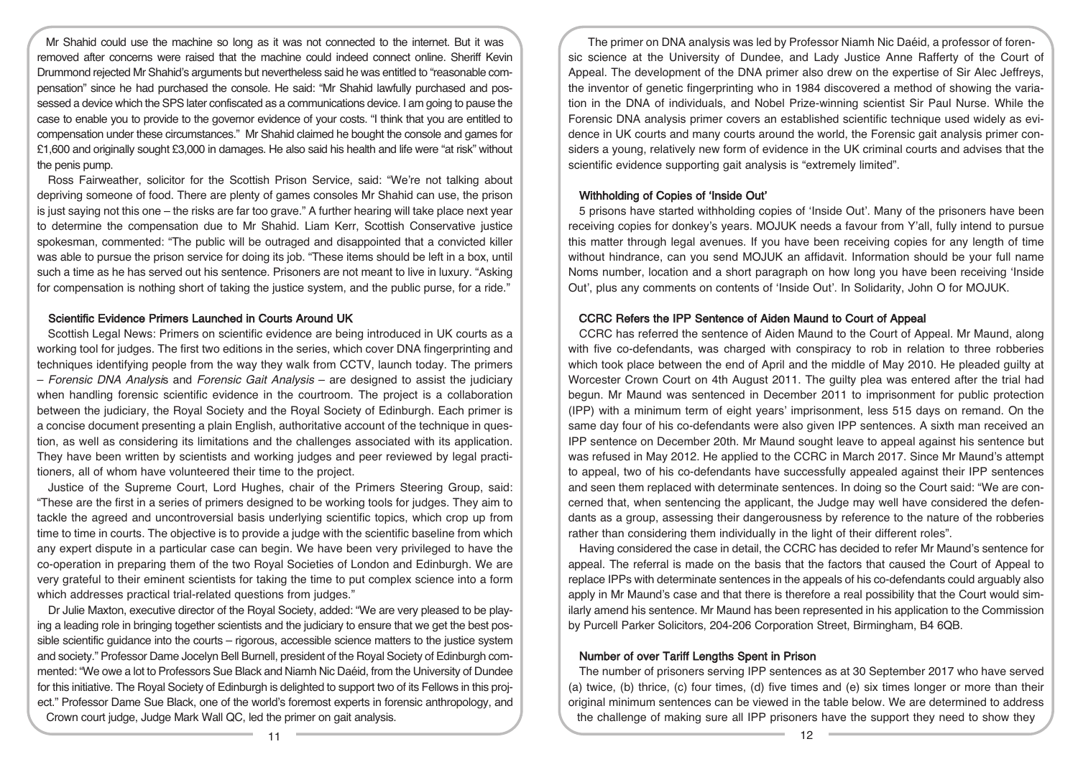Mr Shahid could use the machine so long as it was not connected to the internet. But it was removed after concerns were raised that the machine could indeed connect online. Sheriff Kevin Drummond rejected Mr Shahid's arguments but nevertheless said he was entitled to "reasonable compensation" since he had purchased the console. He said: "Mr Shahid lawfully purchased and possessed a device which the SPS later confiscated as a communications device. I am going to pause the case to enable you to provide to the governor evidence of your costs. "I think that you are entitled to compensation under these circumstances." Mr Shahid claimed he bought the console and games for £1,600 and originally sought £3,000 in damages. He also said his health and life were "at risk" without the penis pump.

Ross Fairweather, solicitor for the Scottish Prison Service, said: "We're not talking about depriving someone of food. There are plenty of games consoles Mr Shahid can use, the prison is just saying not this one – the risks are far too grave." A further hearing will take place next year to determine the compensation due to Mr Shahid. Liam Kerr, Scottish Conservative justice spokesman, commented: "The public will be outraged and disappointed that a convicted killer was able to pursue the prison service for doing its job. "These items should be left in a box, until such a time as he has served out his sentence. Prisoners are not meant to live in luxury. "Asking for compensation is nothing short of taking the justice system, and the public purse, for a ride."

## Scientific Evidence Primers Launched in Courts Around UK

Scottish Legal News: Primers on scientific evidence are being introduced in UK courts as a working tool for judges. The first two editions in the series, which cover DNA fingerprinting and techniques identifying people from the way they walk from CCTV, launch today. The primers – Forensic DNA Analysis and Forensic Gait Analysis – are designed to assist the judiciary when handling forensic scientific evidence in the courtroom. The project is a collaboration between the judiciary, the Royal Society and the Royal Society of Edinburgh. Each primer is a concise document presenting a plain English, authoritative account of the technique in question, as well as considering its limitations and the challenges associated with its application. They have been written by scientists and working judges and peer reviewed by legal practitioners, all of whom have volunteered their time to the project.

Justice of the Supreme Court, Lord Hughes, chair of the Primers Steering Group, said: "These are the first in a series of primers designed to be working tools for judges. They aim to tackle the agreed and uncontroversial basis underlying scientific topics, which crop up from time to time in courts. The objective is to provide a judge with the scientific baseline from which any expert dispute in a particular case can begin. We have been very privileged to have the co-operation in preparing them of the two Royal Societies of London and Edinburgh. We are very grateful to their eminent scientists for taking the time to put complex science into a form which addresses practical trial-related questions from judges."

Dr Julie Maxton, executive director of the Royal Society, added: "We are very pleased to be playing a leading role in bringing together scientists and the judiciary to ensure that we get the best possible scientific guidance into the courts – rigorous, accessible science matters to the justice system and society." Professor Dame Jocelyn Bell Burnell, president of the Royal Society of Edinburgh commented: "We owe a lot to Professors Sue Black and Niamh Nic Daéid, from the University of Dundee for this initiative. The Royal Society of Edinburgh is delighted to support two of its Fellows in this project." Professor Dame Sue Black, one of the world's foremost experts in forensic anthropology, and Crown court judge, Judge Mark Wall QC, led the primer on gait analysis.

The primer on DNA analysis was led by Professor Niamh Nic Daéid, a professor of forensic science at the University of Dundee, and Lady Justice Anne Rafferty of the Court of Appeal. The development of the DNA primer also drew on the expertise of Sir Alec Jeffreys, the inventor of genetic fingerprinting who in 1984 discovered a method of showing the variation in the DNA of individuals, and Nobel Prize-winning scientist Sir Paul Nurse. While the Forensic DNA analysis primer covers an established scientific technique used widely as evidence in UK courts and many courts around the world, the Forensic gait analysis primer considers a young, relatively new form of evidence in the UK criminal courts and advises that the scientific evidence supporting gait analysis is "extremely limited".

#### Withholding of Copies of 'Inside Out'

5 prisons have started withholding copies of 'Inside Out'. Many of the prisoners have been receiving copies for donkey's years. MOJUK needs a favour from Y'all, fully intend to pursue this matter through legal avenues. If you have been receiving copies for any length of time without hindrance, can you send MOJUK an affidavit. Information should be your full name Noms number, location and a short paragraph on how long you have been receiving 'Inside Out', plus any comments on contents of 'Inside Out'. In Solidarity, John O for MOJUK.

# CCRC Refers the IPP Sentence of Aiden Maund to Court of Appeal

CCRC has referred the sentence of Aiden Maund to the Court of Appeal. Mr Maund, along with five co-defendants, was charged with conspiracy to rob in relation to three robberies which took place between the end of April and the middle of May 2010. He pleaded guilty at Worcester Crown Court on 4th August 2011. The guilty plea was entered after the trial had begun. Mr Maund was sentenced in December 2011 to imprisonment for public protection (IPP) with a minimum term of eight years' imprisonment, less 515 days on remand. On the same day four of his co-defendants were also given IPP sentences. A sixth man received an IPP sentence on December 20th. Mr Maund sought leave to appeal against his sentence but was refused in May 2012. He applied to the CCRC in March 2017. Since Mr Maund's attempt to appeal, two of his co-defendants have successfully appealed against their IPP sentences and seen them replaced with determinate sentences. In doing so the Court said: "We are concerned that, when sentencing the applicant, the Judge may well have considered the defendants as a group, assessing their dangerousness by reference to the nature of the robberies rather than considering them individually in the light of their different roles".

Having considered the case in detail, the CCRC has decided to refer Mr Maund's sentence for appeal. The referral is made on the basis that the factors that caused the Court of Appeal to replace IPPs with determinate sentences in the appeals of his co-defendants could arguably also apply in Mr Maund's case and that there is therefore a real possibility that the Court would similarly amend his sentence. Mr Maund has been represented in his application to the Commission by Purcell Parker Solicitors, 204-206 Corporation Street, Birmingham, B4 6QB.

# Number of over Tariff Lengths Spent in Prison

The number of prisoners serving IPP sentences as at 30 September 2017 who have served (a) twice, (b) thrice, (c) four times, (d) five times and (e) six times longer or more than their original minimum sentences can be viewed in the table below. We are determined to address the challenge of making sure all IPP prisoners have the support they need to show they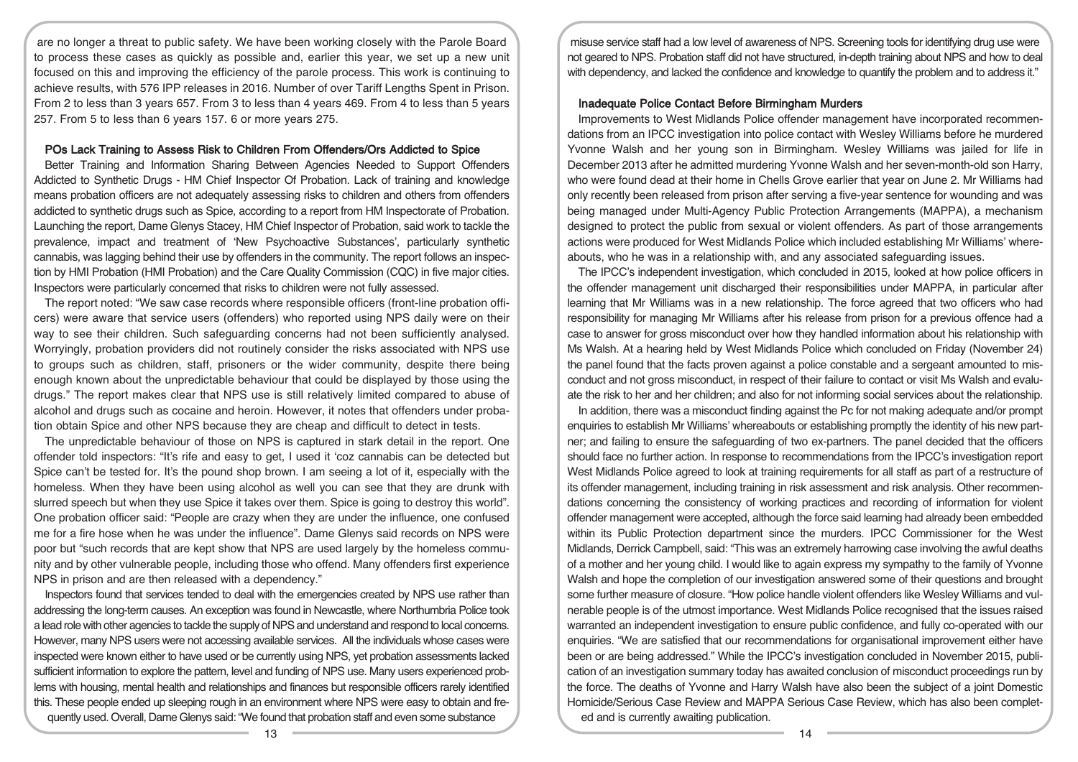are no longer a threat to public safety. We have been working closely with the Parole Board to process these cases as quickly as possible and, earlier this year, we set up a new unit focused on this and improving the efficiency of the parole process. This work is continuing to achieve results, with 576 IPP releases in 2016. Number of over Tariff Lengths Spent in Prison. From 2 to less than 3 years 657. From 3 to less than 4 years 469. From 4 to less than 5 years 257. From 5 to less than 6 years 157. 6 or more years 275.

## POs Lack Training to Assess Risk to Children From Offenders/Ors Addicted to Spice

Better Training and Information Sharing Between Agencies Needed to Support Offenders Addicted to Synthetic Drugs - HM Chief Inspector Of Probation. Lack of training and knowledge means probation officers are not adequately assessing risks to children and others from offenders addicted to synthetic drugs such as Spice, according to a report from HM Inspectorate of Probation. Launching the report, Dame Glenys Stacey, HM Chief Inspector of Probation, said work to tackle the prevalence, impact and treatment of 'New Psychoactive Substances', particularly synthetic cannabis, was lagging behind their use by offenders in the community. The report follows an inspection by HMI Probation (HMI Probation) and the Care Quality Commission (CQC) in five major cities. Inspectors were particularly concerned that risks to children were not fully assessed.

The report noted: "We saw case records where responsible officers (front-line probation officers) were aware that service users (offenders) who reported using NPS daily were on their way to see their children. Such safeguarding concerns had not been sufficiently analysed. Worryingly, probation providers did not routinely consider the risks associated with NPS use to groups such as children, staff, prisoners or the wider community, despite there being enough known about the unpredictable behaviour that could be displayed by those using the drugs." The report makes clear that NPS use is still relatively limited compared to abuse of alcohol and drugs such as cocaine and heroin. However, it notes that offenders under probation obtain Spice and other NPS because they are cheap and difficult to detect in tests.

The unpredictable behaviour of those on NPS is captured in stark detail in the report. One offender told inspectors: "It's rife and easy to get, I used it 'coz cannabis can be detected but Spice can't be tested for. It's the pound shop brown. I am seeing a lot of it, especially with the homeless. When they have been using alcohol as well you can see that they are drunk with slurred speech but when they use Spice it takes over them. Spice is going to destroy this world". One probation officer said: "People are crazy when they are under the influence, one confused me for a fire hose when he was under the influence". Dame Glenys said records on NPS were poor but "such records that are kept show that NPS are used largely by the homeless community and by other vulnerable people, including those who offend. Many offenders first experience NPS in prison and are then released with a dependency."

Inspectors found that services tended to deal with the emergencies created by NPS use rather than addressing the long-term causes. An exception was found in Newcastle, where Northumbria Police took a lead role with other agencies to tackle the supply of NPSand understand and respond to local concerns. However, many NPS users were not accessing available services. All the individuals whose cases were inspected were known either to have used or be currently using NPS, yet probation assessments lacked sufficient information to explore the pattern, level and funding of NPS use. Many users experienced problems with housing, mental health and relationships and finances but responsible officers rarely identified this. These people ended up sleeping rough in an environment where NPS were easy to obtain and frequently used. Overall, Dame Glenys said:"We found that probation staff and even some substance

misuse service staff had a low level of awareness of NPS. Screening tools for identifying drug use were not geared to NPS. Probation staff did not have structured, in-depth training about NPS and how to deal with dependency, and lacked the confidence and knowledge to quantify the problem and to address it."

# Inadequate Police Contact Before Birmingham Murders

Improvements to West Midlands Police offender management have incorporated recommendations from an IPCC investigation into police contact with Wesley Williams before he murdered Yvonne Walsh and her young son in Birmingham. Wesley Williams was jailed for life in December 2013 after he admitted murdering Yvonne Walsh and her seven-month-old son Harry, who were found dead at their home in Chells Grove earlier that year on June 2. Mr Williams had only recently been released from prison after serving a five-year sentence for wounding and was being managed under Multi-Agency Public Protection Arrangements (MAPPA), a mechanism designed to protect the public from sexual or violent offenders. As part of those arrangements actions were produced for West Midlands Police which included establishing Mr Williams' whereabouts, who he was in a relationship with, and any associated safeguarding issues.

The IPCC's independent investigation, which concluded in 2015, looked at how police officers in the offender management unit discharged their responsibilities under MAPPA, in particular after learning that Mr Williams was in a new relationship. The force agreed that two officers who had responsibility for managing Mr Williams after his release from prison for a previous offence had a case to answer for gross misconduct over how they handled information about his relationship with Ms Walsh. At a hearing held by West Midlands Police which concluded on Friday (November 24) the panel found that the facts proven against a police constable and a sergeant amounted to misconduct and not gross misconduct, in respect of their failure to contact or visit Ms Walsh and evaluate the risk to her and her children; and also for not informing social services about the relationship.

In addition, there was a misconduct finding against the Pc for not making adequate and/or prompt enquiries to establish Mr Williams' whereabouts or establishing promptly the identity of his new partner; and failing to ensure the safeguarding of two ex-partners. The panel decided that the officers should face no further action. In response to recommendations from the IPCC's investigation report West Midlands Police agreed to look at training requirements for all staff as part of a restructure of its offender management, including training in risk assessment and risk analysis. Other recommendations concerning the consistency of working practices and recording of information for violent offender management were accepted, although the force said learning had already been embedded within its Public Protection department since the murders. IPCC Commissioner for the West Midlands, Derrick Campbell, said: "This was an extremely harrowing case involving the awful deaths of a mother and her young child. I would like to again express my sympathy to the family of Yvonne Walsh and hope the completion of our investigation answered some of their questions and brought some further measure of closure. "How police handle violent offenders like Wesley Williams and vulnerable people is of the utmost importance. West Midlands Police recognised that the issues raised warranted an independent investigation to ensure public confidence, and fully co-operated with our enquiries. "We are satisfied that our recommendations for organisational improvement either have been or are being addressed." While the IPCC's investigation concluded in November 2015, publication of an investigation summary today has awaited conclusion of misconduct proceedings run by the force. The deaths of Yvonne and Harry Walsh have also been the subject of a joint Domestic Homicide/Serious Case Review and MAPPA Serious Case Review, which has also been completed and is currently awaiting publication.